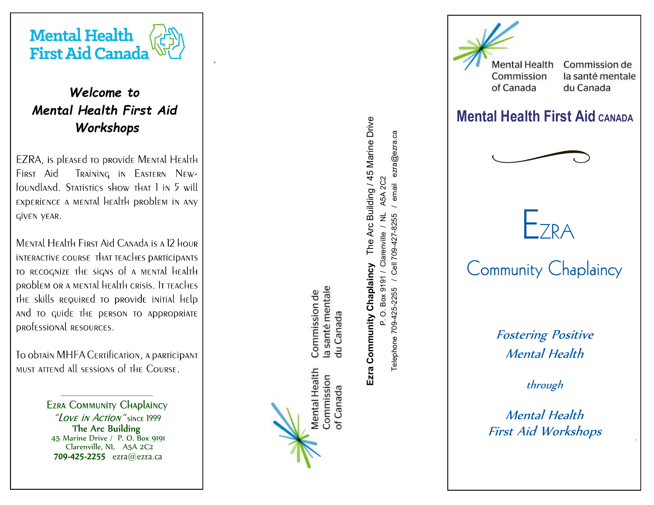

`

# Welcome to Mental Health First Aid Workshops

EZRA, is pleased to provide Mental Health FIRST Aid Training in Eastern Newfoundland. Statistics show that I in 5 will EXPERIENCE A MENTAL HEALTH PROBLEM IN ANY GİVEN YEAR.

MENTAL HEALTH FIRST AID CANADA IS A 12 HOUR INTERACTIVE COURSE THAT TEACHES DARTICIDANTS TO RECOGNIZE THE SIGNS Of A MENTAL HEALTH DRODLEM OR A MENTAL HEALTH CRISIS. IT TEACHES THE skills REQUIRED TO DROVIDE INITIAL HELD and to quide the person to appropriate professional RESOURCES.

TO ODTAIN MHFA CERTIFICATION, A DARTICIDANT MUST ATTEND All SESSIONS OF THE COURSE.

> **EZRA COMMUNITY CHAPLAINCY** The Arc Building 45 Marine Drive / P. O. Box 9191 Clarenville, NL A5A 2C2 709-425-2255  $exra@ezra.ca$

**Mental Health** Commission

a santé mentale Commission de

du Canada

of Canada

First Aid Workshops  $\frac{1}{2}$  Merinan Health Health<br>  $\frac{1}{2}$  The  $\frac{1}{2}$   $\frac{1}{2}$   $\frac{1}{2}$   $\frac{1}{2}$   $\frac{1}{2}$   $\frac{1}{2}$   $\frac{1}{2}$   $\frac{1}{2}$   $\frac{1}{2}$   $\frac{1}{2}$   $\frac{1}{2}$   $\frac{1}{2}$   $\frac{1}{2}$   $\frac{1}{2}$   $\frac{1}{2}$   $\frac{$ 



# Mental Health First Aid CANADA





Fostering Positive Mental Health

through

Mental Health